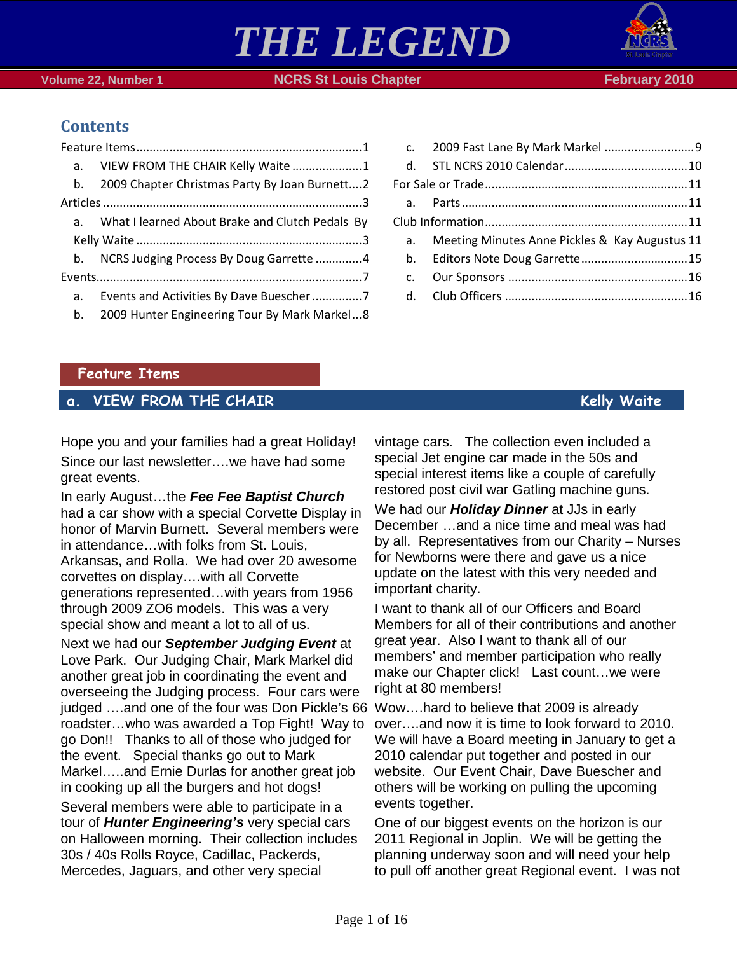### [For Sale or Trade.............................................................11](#page-10-0) a. [Parts....................................................................11](#page-10-1)

*THE LEGEND*

| a. | Meeting Minutes Anne Pickles & Kay Augustus 11 |  |
|----|------------------------------------------------|--|
|    |                                                |  |
|    |                                                |  |
|    |                                                |  |

c. [2009 Fast Lane By Mark Markel](#page-8-0) ...........................9 d. [STL NCRS 2010 Calendar.....................................10](#page-9-0)

Page 1 of 16

### **Volume 22, Number 1 NCRS St Louis Chapter February 2010**

### **Contents**

### <span id="page-0-0"></span>**Feature Items**

## <span id="page-0-1"></span>**a. VIEW FROM THE CHAIR Kelly Waite**

Hope you and your families had a great Holiday! Since our last newsletter….we have had some great events.

In early August…the *Fee Fee Baptist Church*  had a car show with a special Corvette Display in honor of Marvin Burnett. Several members were in attendance…with folks from St. Louis, Arkansas, and Rolla. We had over 20 awesome corvettes on display….with all Corvette generations represented…with years from 1956 through 2009 ZO6 models. This was a very special show and meant a lot to all of us.

Next we had our *September Judging Event* at Love Park. Our Judging Chair, Mark Markel did another great job in coordinating the event and overseeing the Judging process. Four cars were judged ….and one of the four was Don Pickle's 66 Wow….hard to believe that 2009 is already roadster…who was awarded a Top Fight! Way to go Don!! Thanks to all of those who judged for the event. Special thanks go out to Mark Markel…..and Ernie Durlas for another great job in cooking up all the burgers and hot dogs! Several members were able to participate in a tour of *Hunter Engineering's* very special cars on Halloween morning. Their collection includes 30s / 40s Rolls Royce, Cadillac, Packerds, Mercedes, Jaguars, and other very special

vintage cars. The collection even included a special Jet engine car made in the 50s and special interest items like a couple of carefully restored post civil war Gatling machine guns.

We had our *Holiday Dinner* at JJs in early December …and a nice time and meal was had by all. Representatives from our Charity – Nurses for Newborns were there and gave us a nice update on the latest with this very needed and important charity.

I want to thank all of our Officers and Board Members for all of their contributions and another great year. Also I want to thank all of our members' and member participation who really make our Chapter click! Last count…we were right at 80 members!

over….and now it is time to look forward to 2010. We will have a Board meeting in January to get a 2010 calendar put together and posted in our website. Our Event Chair, Dave Buescher and others will be working on pulling the upcoming events together.

One of our biggest events on the horizon is our 2011 Regional in Joplin. We will be getting the planning underway soon and will need your help to pull off another great Regional event. I was not

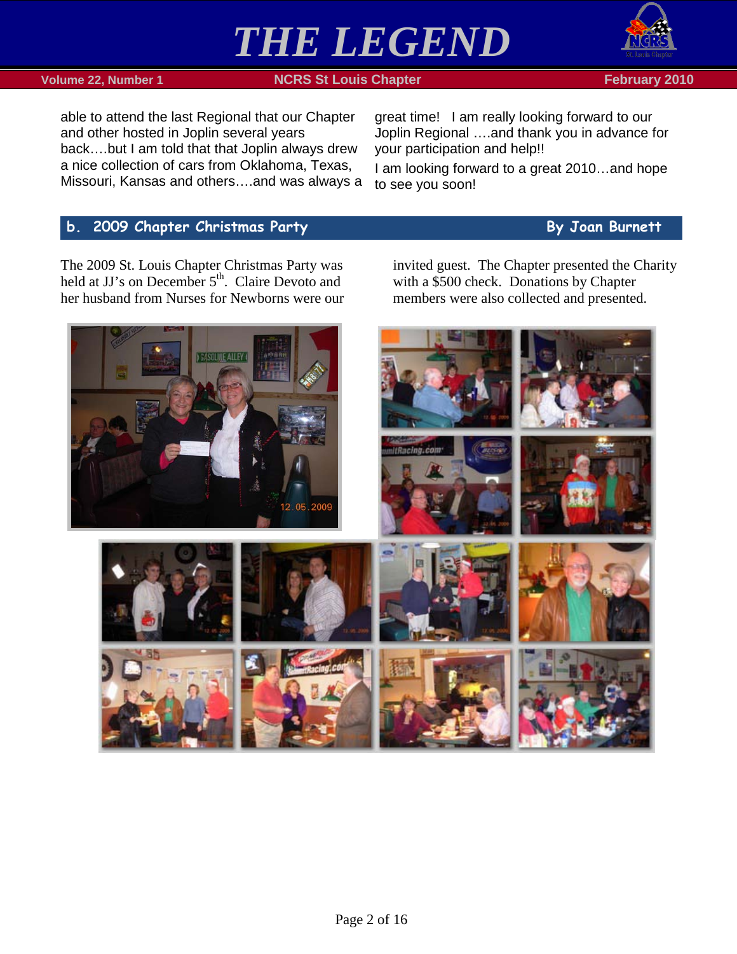

### **Volume 22, Number 1 NCRS St Louis Chapter February 2010 February 2010**

able to attend the last Regional that our Chapter and other hosted in Joplin several years back….but I am told that that Joplin always drew a nice collection of cars from Oklahoma, Texas, Missouri, Kansas and others….and was always a

great time! I am really looking forward to our Joplin Regional ….and thank you in advance for your participation and help!!

I am looking forward to a great 2010…and hope to see you soon!

### <span id="page-1-0"></span>**b.** 2009 Chapter Christmas Party **Burnett** By Joan Burnett

The 2009 St. Louis Chapter Christmas Party was held at JJ's on December 5<sup>th</sup>. Claire Devoto and her husband from Nurses for Newborns were our invited guest. The Chapter presented the Charity with a \$500 check. Donations by Chapter members were also collected and presented.

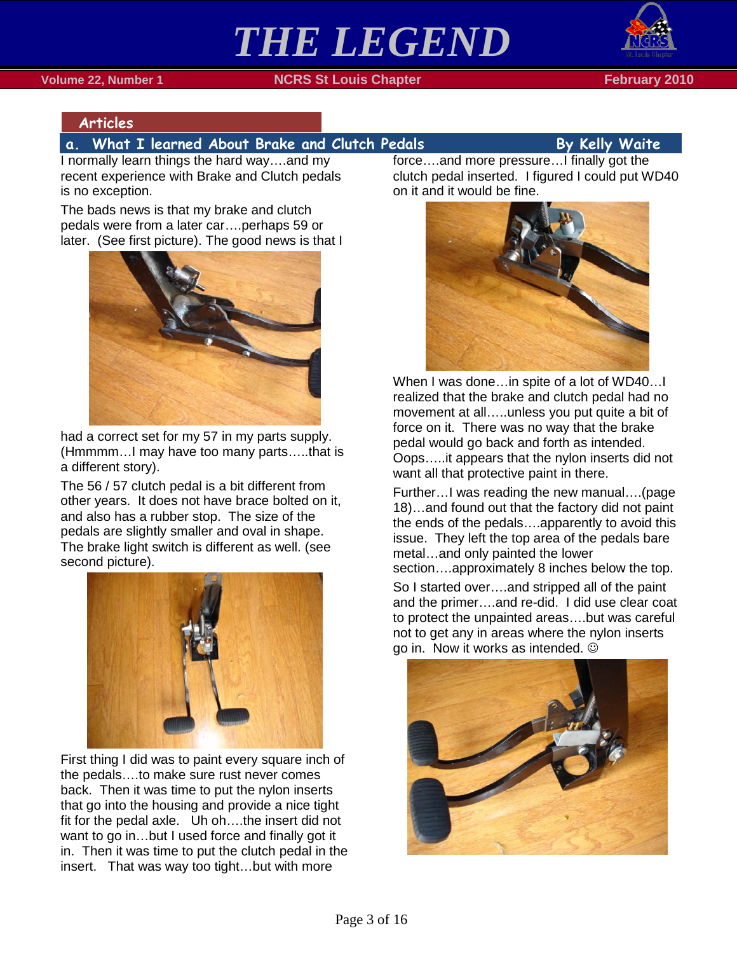## *THE LEGEND* **Volume 22, Number 1 NCRS St Louis Chapter February 2010**



### <span id="page-2-0"></span>**Articles**

### <span id="page-2-1"></span>**a. What I learned About Brake and Clutch Pedals By Kelly Waite**

I normally learn things the hard way….and my recent experience with Brake and Clutch pedals is no exception.

The bads news is that my brake and clutch pedals were from a later car….perhaps 59 or later. (See first picture). The good news is that I



had a correct set for my 57 in my parts supply. (Hmmmm…I may have too many parts…..that is a different story).

The 56 / 57 clutch pedal is a bit different from other years. It does not have brace bolted on it, and also has a rubber stop. The size of the pedals are slightly smaller and oval in shape. The brake light switch is different as well. (see second picture).



First thing I did was to paint every square inch of the pedals….to make sure rust never comes back. Then it was time to put the nylon inserts that go into the housing and provide a nice tight fit for the pedal axle. Uh oh….the insert did not want to go in…but I used force and finally got it in. Then it was time to put the clutch pedal in the insert. That was way too tight…but with more

force….and more pressure…I finally got the clutch pedal inserted. I figured I could put WD40 on it and it would be fine.



When I was done…in spite of a lot of WD40…I realized that the brake and clutch pedal had no movement at all…..unless you put quite a bit of force on it. There was no way that the brake pedal would go back and forth as intended. Oops…..it appears that the nylon inserts did not want all that protective paint in there.

Further…I was reading the new manual….(page 18)…and found out that the factory did not paint the ends of the pedals….apparently to avoid this issue. They left the top area of the pedals bare metal…and only painted the lower section….approximately 8 inches below the top.

So I started over….and stripped all of the paint and the primer….and re-did. I did use clear coat to protect the unpainted areas….but was careful not to get any in areas where the nylon inserts go in. Now it works as intended.

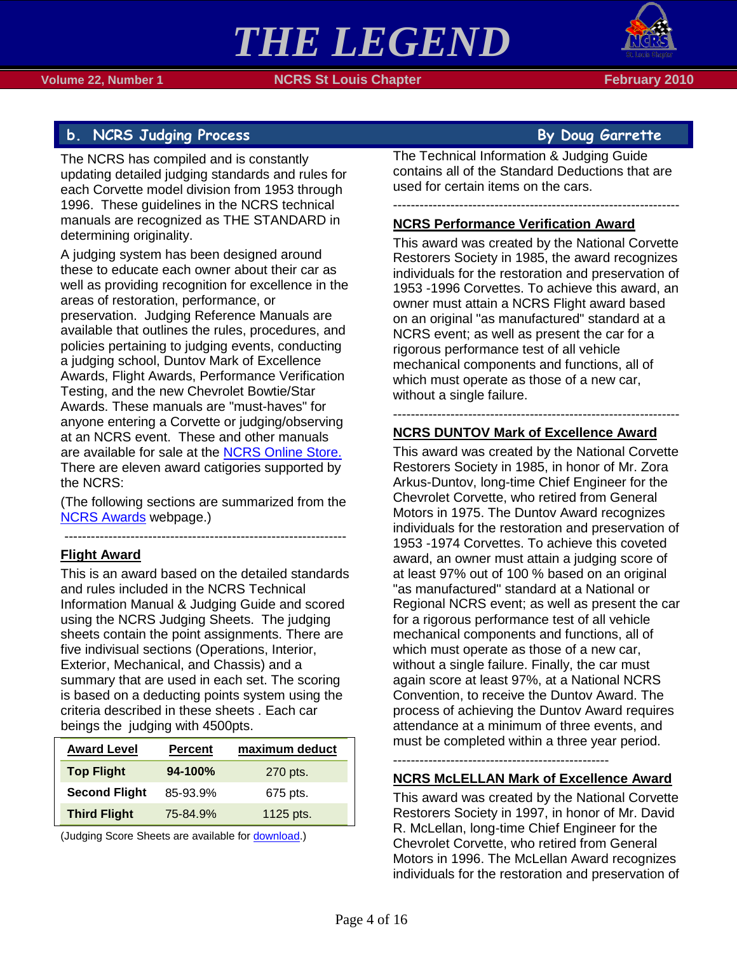

### <span id="page-3-0"></span>**b.** NCRS Judging Process **By Doug Garrette**

The NCRS has compiled and is constantly updating detailed judging standards and rules for each Corvette model division from 1953 through 1996. These guidelines in the NCRS technical manuals are recognized as THE STANDARD in determining originality.

A judging system has been designed around these to educate each owner about their car as well as providing recognition for excellence in the areas of restoration, performance, or preservation. Judging Reference Manuals are available that outlines the rules, procedures, and policies pertaining to judging events, conducting a judging school, Duntov Mark of Excellence Awards, Flight Awards, Performance Verification Testing, and the new Chevrolet Bowtie/Star Awards. These manuals are "must-haves" for anyone entering a Corvette or judging/observing at an NCRS event. These and other manuals are available for sale at the [NCRS Online Store.](http://www.ncrs.org/store/shop.cgi/page=index.html/SID=PUT_SID_HERE) There are eleven award catigories supported by the NCRS:

(The following sections are summarized from the [NCRS Awards](http://www.ncrs.org/awards.html) webpage.)

### ---------------------------------------------------------------- **Flight Award**

This is an award based on the detailed standards and rules included in the NCRS Technical Information Manual & Judging Guide and scored using the NCRS Judging Sheets. The judging sheets contain the point assignments. There are five indivisual sections (Operations, Interior, Exterior, Mechanical, and Chassis) and a summary that are used in each set. The scoring is based on a deducting points system using the criteria described in these sheets . Each car beings the judging with 4500pts.

| <b>Award Level</b>   | <b>Percent</b> | maximum deduct |  |
|----------------------|----------------|----------------|--|
| <b>Top Flight</b>    | 94-100%        | 270 pts.       |  |
| <b>Second Flight</b> | 85-93.9%       | 675 pts.       |  |
| <b>Third Flight</b>  | 75-84.9%       | 1125 pts.      |  |

(Judging Score Sheets are available fo[r download.](http://www.ncrs.org/membership/scoresheets.html))

The Technical Information & Judging Guide contains all of the Standard Deductions that are used for certain items on the cars.

-----------------------------------------------------------------

### **NCRS Performance Verification Award**

This award was created by the National Corvette Restorers Society in 1985, the award recognizes individuals for the restoration and preservation of 1953 -1996 Corvettes. To achieve this award, an owner must attain a NCRS Flight award based on an original "as manufactured" standard at a NCRS event; as well as present the car for a rigorous performance test of all vehicle mechanical components and functions, all of which must operate as those of a new car, without a single failure.

-----------------------------------------------------------------

### **NCRS DUNTOV Mark of Excellence Award**

This award was created by the National Corvette Restorers Society in 1985, in honor of Mr. Zora Arkus-Duntov, long-time Chief Engineer for the Chevrolet Corvette, who retired from General Motors in 1975. The Duntov Award recognizes individuals for the restoration and preservation of 1953 -1974 Corvettes. To achieve this coveted award, an owner must attain a judging score of at least 97% out of 100 % based on an original "as manufactured" standard at a National or Regional NCRS event; as well as present the car for a rigorous performance test of all vehicle mechanical components and functions, all of which must operate as those of a new car, without a single failure. Finally, the car must again score at least 97%, at a National NCRS Convention, to receive the Duntov Award. The process of achieving the Duntov Award requires attendance at a minimum of three events, and must be completed within a three year period.

-------------------------------------------------

### **NCRS McLELLAN Mark of Excellence Award**

This award was created by the National Corvette Restorers Society in 1997, in honor of Mr. David R. McLellan, long-time Chief Engineer for the Chevrolet Corvette, who retired from General Motors in 1996. The McLellan Award recognizes individuals for the restoration and preservation of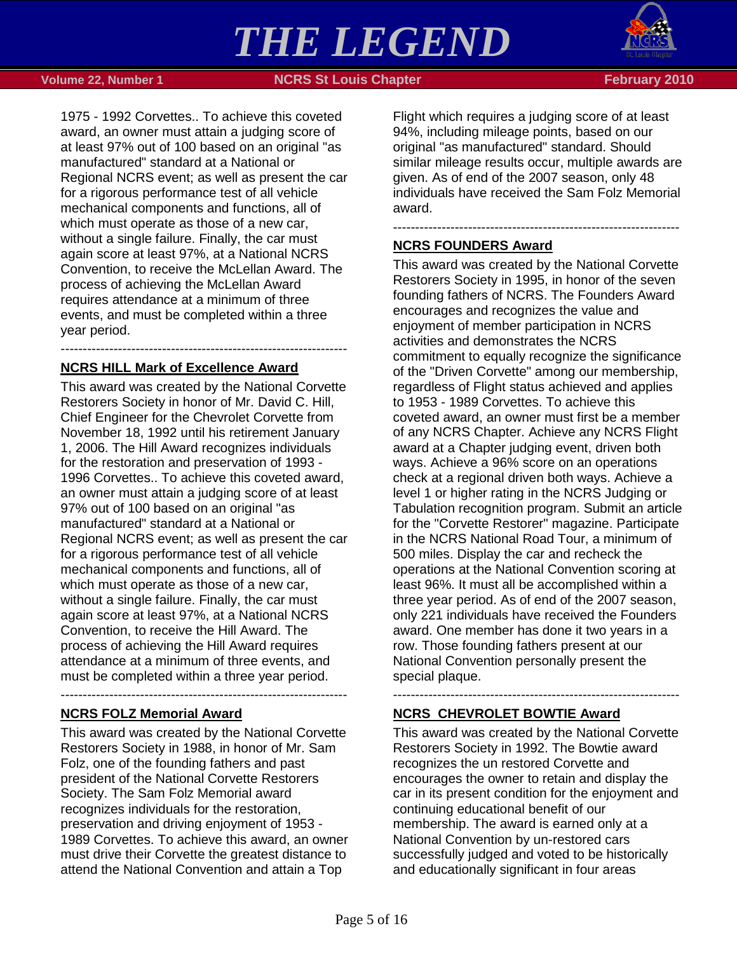

 **Volume 22, Number 1 NGRS St Louis Chapter February 2010** 

1975 - 1992 Corvettes.. To achieve this coveted award, an owner must attain a judging score of at least 97% out of 100 based on an original "as manufactured" standard at a National or Regional NCRS event; as well as present the car for a rigorous performance test of all vehicle mechanical components and functions, all of which must operate as those of a new car, without a single failure. Finally, the car must again score at least 97%, at a National NCRS Convention, to receive the McLellan Award. The process of achieving the McLellan Award requires attendance at a minimum of three events, and must be completed within a three year period.

-----------------------------------------------------------------

### **NCRS HILL Mark of Excellence Award**

This award was created by the National Corvette Restorers Society in honor of Mr. David C. Hill, Chief Engineer for the Chevrolet Corvette from November 18, 1992 until his retirement January 1, 2006. The Hill Award recognizes individuals for the restoration and preservation of 1993 - 1996 Corvettes.. To achieve this coveted award, an owner must attain a judging score of at least 97% out of 100 based on an original "as manufactured" standard at a National or Regional NCRS event; as well as present the car for a rigorous performance test of all vehicle mechanical components and functions, all of which must operate as those of a new car, without a single failure. Finally, the car must again score at least 97%, at a National NCRS Convention, to receive the Hill Award. The process of achieving the Hill Award requires attendance at a minimum of three events, and must be completed within a three year period.

### **NCRS FOLZ Memorial Award**

This award was created by the National Corvette Restorers Society in 1988, in honor of Mr. Sam Folz, one of the founding fathers and past president of the National Corvette Restorers Society. The Sam Folz Memorial award recognizes individuals for the restoration, preservation and driving enjoyment of 1953 - 1989 Corvettes. To achieve this award, an owner must drive their Corvette the greatest distance to attend the National Convention and attain a Top

-----------------------------------------------------------------

Flight which requires a judging score of at least 94%, including mileage points, based on our original "as manufactured" standard. Should similar mileage results occur, multiple awards are given. As of end of the 2007 season, only 48 individuals have received the Sam Folz Memorial award.

-----------------------------------------------------------------

### **NCRS FOUNDERS Award**

This award was created by the National Corvette Restorers Society in 1995, in honor of the seven founding fathers of NCRS. The Founders Award encourages and recognizes the value and enjoyment of member participation in NCRS activities and demonstrates the NCRS commitment to equally recognize the significance of the "Driven Corvette" among our membership, regardless of Flight status achieved and applies to 1953 - 1989 Corvettes. To achieve this coveted award, an owner must first be a member of any NCRS Chapter. Achieve any NCRS Flight award at a Chapter judging event, driven both ways. Achieve a 96% score on an operations check at a regional driven both ways. Achieve a level 1 or higher rating in the NCRS Judging or Tabulation recognition program. Submit an article for the "Corvette Restorer" magazine. Participate in the NCRS National Road Tour, a minimum of 500 miles. Display the car and recheck the operations at the National Convention scoring at least 96%. It must all be accomplished within a three year period. As of end of the 2007 season, only 221 individuals have received the Founders award. One member has done it two years in a row. Those founding fathers present at our National Convention personally present the special plaque.

### -----------------------------------------------------------------

### **NCRS CHEVROLET BOWTIE Award**

This award was created by the National Corvette Restorers Society in 1992. The Bowtie award recognizes the un restored Corvette and encourages the owner to retain and display the car in its present condition for the enjoyment and continuing educational benefit of our membership. The award is earned only at a National Convention by un-restored cars successfully judged and voted to be historically and educationally significant in four areas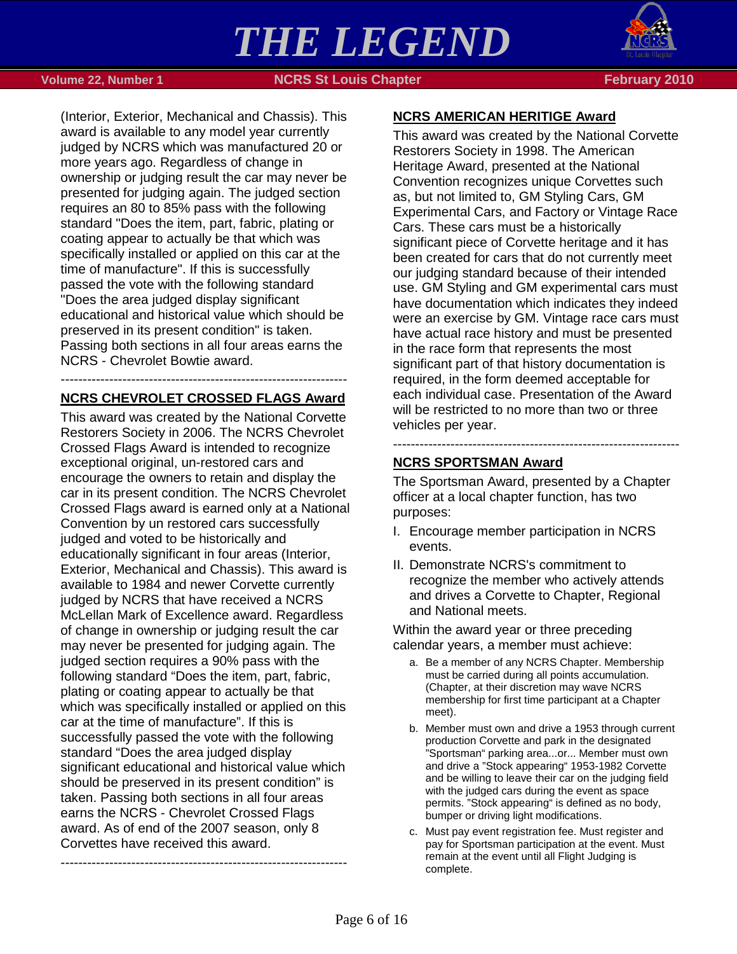

 **Volume 22, Number 1 NCRS St Louis Chapter February 2010**

(Interior, Exterior, Mechanical and Chassis). This award is available to any model year currently judged by NCRS which was manufactured 20 or more years ago. Regardless of change in ownership or judging result the car may never be presented for judging again. The judged section requires an 80 to 85% pass with the following standard "Does the item, part, fabric, plating or coating appear to actually be that which was specifically installed or applied on this car at the time of manufacture". If this is successfully passed the vote with the following standard "Does the area judged display significant educational and historical value which should be preserved in its present condition" is taken. Passing both sections in all four areas earns the NCRS - Chevrolet Bowtie award.

### ----------------------------------------------------------------- **NCRS CHEVROLET CROSSED FLAGS Award**

This award was created by the National Corvette Restorers Society in 2006. The NCRS Chevrolet Crossed Flags Award is intended to recognize exceptional original, un-restored cars and encourage the owners to retain and display the car in its present condition. The NCRS Chevrolet Crossed Flags award is earned only at a National Convention by un restored cars successfully judged and voted to be historically and educationally significant in four areas (Interior, Exterior, Mechanical and Chassis). This award is available to 1984 and newer Corvette currently judged by NCRS that have received a NCRS McLellan Mark of Excellence award. Regardless of change in ownership or judging result the car may never be presented for judging again. The judged section requires a 90% pass with the following standard "Does the item, part, fabric, plating or coating appear to actually be that which was specifically installed or applied on this car at the time of manufacture". If this is successfully passed the vote with the following standard "Does the area judged display significant educational and historical value which should be preserved in its present condition" is taken. Passing both sections in all four areas earns the NCRS - Chevrolet Crossed Flags award. As of end of the 2007 season, only 8 Corvettes have received this award.

-----------------------------------------------------------------

### **NCRS AMERICAN HERITIGE Award**

This award was created by the National Corvette Restorers Society in 1998. The American Heritage Award, presented at the National Convention recognizes unique Corvettes such as, but not limited to, GM Styling Cars, GM Experimental Cars, and Factory or Vintage Race Cars. These cars must be a historically significant piece of Corvette heritage and it has been created for cars that do not currently meet our judging standard because of their intended use. GM Styling and GM experimental cars must have documentation which indicates they indeed were an exercise by GM. Vintage race cars must have actual race history and must be presented in the race form that represents the most significant part of that history documentation is required, in the form deemed acceptable for each individual case. Presentation of the Award will be restricted to no more than two or three vehicles per year.

### **NCRS SPORTSMAN Award**

The Sportsman Award, presented by a Chapter officer at a local chapter function, has two purposes:

-----------------------------------------------------------------

- I. Encourage member participation in NCRS events.
- II. Demonstrate NCRS's commitment to recognize the member who actively attends and drives a Corvette to Chapter, Regional and National meets.

Within the award year or three preceding calendar years, a member must achieve:

- a. Be a member of any NCRS Chapter. Membership must be carried during all points accumulation. (Chapter, at their discretion may wave NCRS membership for first time participant at a Chapter meet).
- b. Member must own and drive a 1953 through current production Corvette and park in the designated "Sportsman" parking area...or... Member must own and drive a "Stock appearing" 1953-1982 Corvette and be willing to leave their car on the judging field with the judged cars during the event as space permits. "Stock appearing" is defined as no body, bumper or driving light modifications.
- c. Must pay event registration fee. Must register and pay for Sportsman participation at the event. Must remain at the event until all Flight Judging is complete.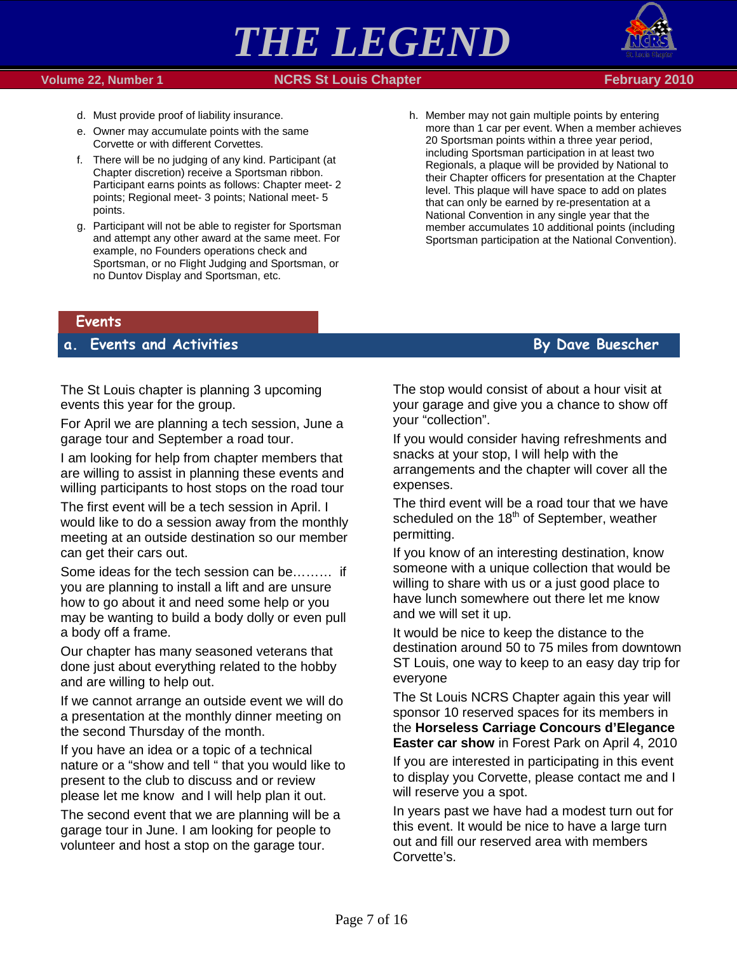



- d. Must provide proof of liability insurance.
- e. Owner may accumulate points with the same Corvette or with different Corvettes.
- f. There will be no judging of any kind. Participant (at Chapter discretion) receive a Sportsman ribbon. Participant earns points as follows: Chapter meet- 2 points; Regional meet- 3 points; National meet- 5 points.
- g. Participant will not be able to register for Sportsman and attempt any other award at the same meet. For example, no Founders operations check and Sportsman, or no Flight Judging and Sportsman, or no Duntov Display and Sportsman, etc.
- h. Member may not gain multiple points by entering more than 1 car per event. When a member achieves 20 Sportsman points within a three year period, including Sportsman participation in at least two Regionals, a plaque will be provided by National to their Chapter officers for presentation at the Chapter level. This plaque will have space to add on plates that can only be earned by re-presentation at a National Convention in any single year that the member accumulates 10 additional points (including Sportsman participation at the National Convention).

### <span id="page-6-0"></span>**Events**

### <span id="page-6-1"></span>**a. Events and Activities By Dave Buescher**

The St Louis chapter is planning 3 upcoming events this year for the group.

For April we are planning a tech session, June a garage tour and September a road tour.

I am looking for help from chapter members that are willing to assist in planning these events and willing participants to host stops on the road tour

The first event will be a tech session in April. I would like to do a session away from the monthly meeting at an outside destination so our member can get their cars out.

Some ideas for the tech session can be……… if you are planning to install a lift and are unsure how to go about it and need some help or you may be wanting to build a body dolly or even pull a body off a frame.

Our chapter has many seasoned veterans that done just about everything related to the hobby and are willing to help out.

If we cannot arrange an outside event we will do a presentation at the monthly dinner meeting on the second Thursday of the month.

If you have an idea or a topic of a technical nature or a "show and tell " that you would like to present to the club to discuss and or review please let me know and I will help plan it out.

The second event that we are planning will be a garage tour in June. I am looking for people to volunteer and host a stop on the garage tour.

The stop would consist of about a hour visit at your garage and give you a chance to show off your "collection".

If you would consider having refreshments and snacks at your stop, I will help with the arrangements and the chapter will cover all the expenses.

The third event will be a road tour that we have scheduled on the  $18<sup>th</sup>$  of September, weather permitting.

If you know of an interesting destination, know someone with a unique collection that would be willing to share with us or a just good place to have lunch somewhere out there let me know and we will set it up.

It would be nice to keep the distance to the destination around 50 to 75 miles from downtown ST Louis, one way to keep to an easy day trip for everyone

The St Louis NCRS Chapter again this year will sponsor 10 reserved spaces for its members in the **Horseless Carriage Concours d'Elegance Easter car show** in Forest Park on April 4, 2010

If you are interested in participating in this event to display you Corvette, please contact me and I will reserve you a spot.

In years past we have had a modest turn out for this event. It would be nice to have a large turn out and fill our reserved area with members Corvette's.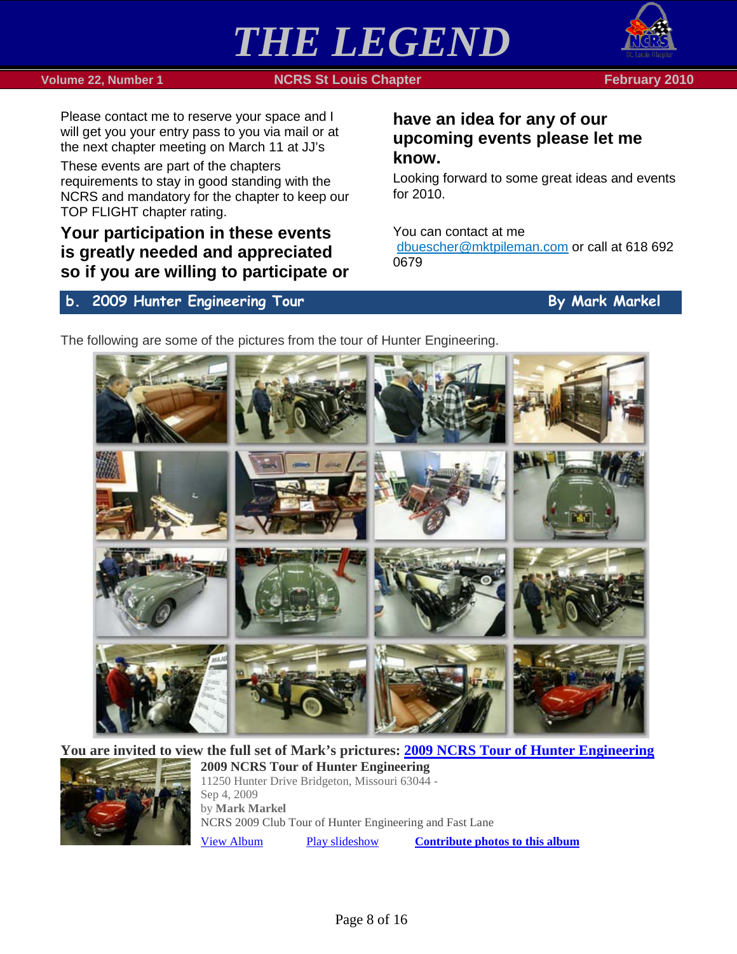



### **Volume 22, Number 1 NCRS St Louis Chapter February 2010**

Please contact me to reserve your space and I will get you your entry pass to you via mail or at the next chapter meeting on March 11 at JJ's

These events are part of the chapters requirements to stay in good standing with the NCRS and mandatory for the chapter to keep our TOP FLIGHT chapter rating.

### **Your participation in these events is greatly needed and appreciated so if you are willing to participate or**

### <span id="page-7-0"></span>**b. 2009 Hunter Engineering Tour By Mark Markel**

### **have an idea for any of our upcoming events please let me know.**

Looking forward to some great ideas and events for 2010.

You can contact at me

[dbuescher@mktpileman.com](mailto:dbuescher@mktpileman.com) or call at 618 692 0679

The following are some of the pictures from the tour of Hunter Engineering.



**You are invited to view the full set of Mark's prictures: [2009 NCRS Tour of Hunter Engineering](http://picasaweb.google.com/lh/sredir?uname=DougandCherie&target=ALBUM&id=5440740404469247553&authkey=Gv1sRgCOb3nt_fq7fPzwE&feat=email)**



**2009 NCRS Tour of Hunter Engineering** 11250 Hunter Drive Bridgeton, Missouri 63044 - Sep 4, 2009 by **Mark Markel** NCRS 2009 Club Tour of Hunter Engineering and Fast Lane [View Album](http://picasaweb.google.com/lh/sredir?uname=DougandCherie&target=ALBUM&id=5440740404469247553&authkey=Gv1sRgCOb3nt_fq7fPzwE&feat=email) [Play slideshow](http://picasaweb.google.com/lh/sredir?uname=DougandCherie&target=ALBUM&id=5440740404469247553&authkey=Gv1sRgCOb3nt_fq7fPzwE&feat=email&mode=SLIDESHOW) **[Contribute photos to this album](http://picasaweb.google.com/lh/webUpload?uname=DougandCherie&aid=5440740404469247553)**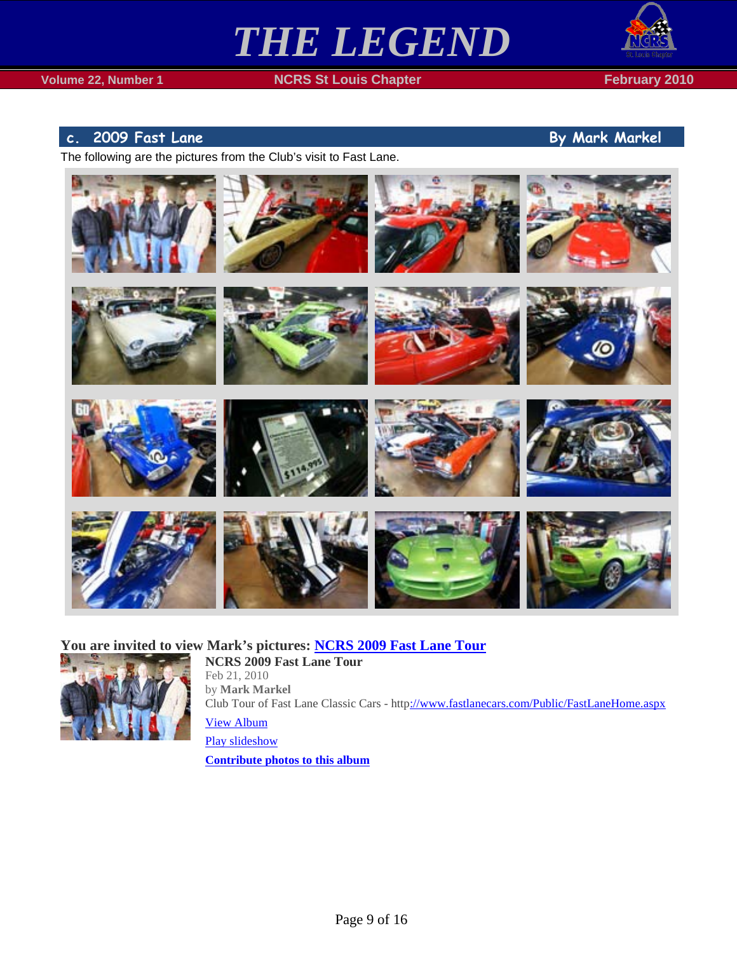



### <span id="page-8-0"></span>**c.** 2009 Fast Lane **By Mark Markel**

The following are the pictures from the Club's visit to Fast Lane.



### **You are invited to view Mark's pictures: [NCRS 2009 Fast Lane Tour](http://picasaweb.google.com/lh/sredir?uname=DougandCherie&target=ALBUM&id=5440744610504718705&authkey=Gv1sRgCP2Yy4-1xZfbBQ&feat=email)**



**NCRS 2009 Fast Lane Tour** Feb 21, 2010 by **Mark Markel** Club Tour of Fast Lane Classic Cars - htt[p://www.fastlanecars.com/Public/FastLaneHome.aspx](http://www.fastlanecars.com/Public/FastLaneHome.aspx) [View Album](http://picasaweb.google.com/lh/sredir?uname=DougandCherie&target=ALBUM&id=5440744610504718705&authkey=Gv1sRgCP2Yy4-1xZfbBQ&feat=email)

[Play slideshow](http://picasaweb.google.com/lh/sredir?uname=DougandCherie&target=ALBUM&id=5440744610504718705&authkey=Gv1sRgCP2Yy4-1xZfbBQ&feat=email&mode=SLIDESHOW) **[Contribute photos to this album](http://picasaweb.google.com/lh/webUpload?uname=DougandCherie&aid=5440744610504718705)**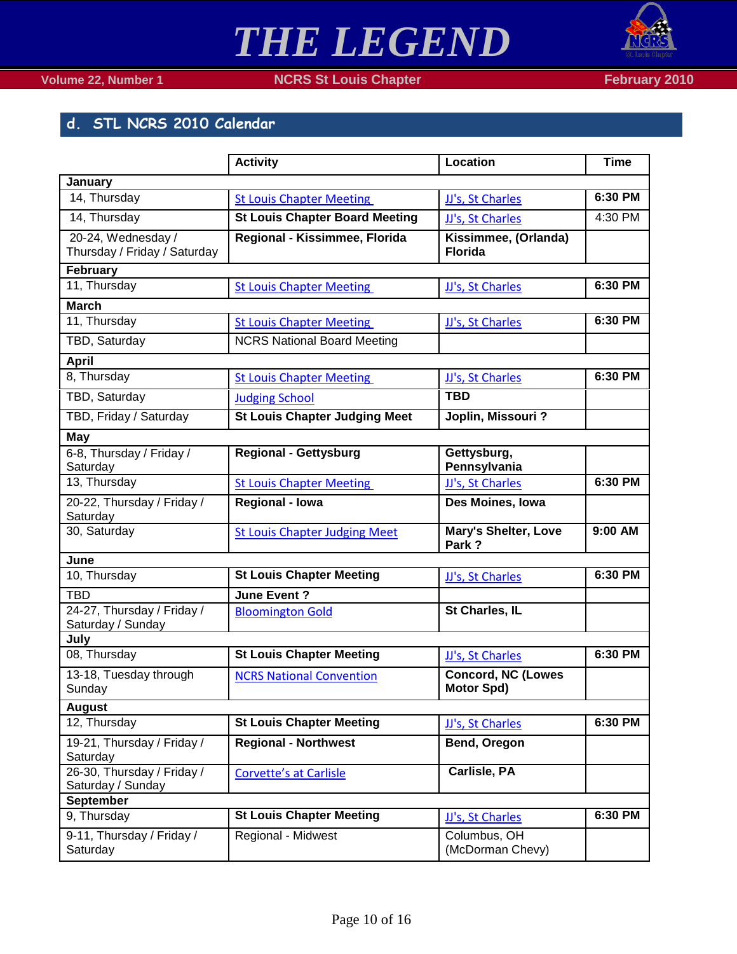

### <span id="page-9-0"></span>**d. STL NCRS 2010 Calendar**

|                                                    | <b>Activity</b>                       | <b>Location</b>                                | <b>Time</b> |
|----------------------------------------------------|---------------------------------------|------------------------------------------------|-------------|
| January                                            |                                       |                                                |             |
| 14, Thursday                                       | <b>St Louis Chapter Meeting</b>       | JJ's, St Charles                               | 6:30 PM     |
| 14, Thursday                                       | <b>St Louis Chapter Board Meeting</b> | JJ's, St Charles                               | 4:30 PM     |
| 20-24, Wednesday /<br>Thursday / Friday / Saturday | Regional - Kissimmee, Florida         | Kissimmee, (Orlanda)<br><b>Florida</b>         |             |
| February                                           |                                       |                                                |             |
| 11, Thursday                                       | <b>St Louis Chapter Meeting</b>       | JJ's, St Charles                               | 6:30 PM     |
| <b>March</b>                                       |                                       |                                                |             |
| 11, Thursday                                       | <b>St Louis Chapter Meeting</b>       | JJ's, St Charles                               | 6:30 PM     |
| TBD, Saturday                                      | <b>NCRS National Board Meeting</b>    |                                                |             |
| <b>April</b>                                       |                                       |                                                |             |
| 8, Thursday                                        | <b>St Louis Chapter Meeting</b>       | JJ's, St Charles                               | 6:30 PM     |
| TBD, Saturday                                      | <b>Judging School</b>                 | <b>TBD</b>                                     |             |
| TBD, Friday / Saturday                             | <b>St Louis Chapter Judging Meet</b>  | Joplin, Missouri?                              |             |
| May                                                |                                       |                                                |             |
| 6-8, Thursday / Friday /<br>Saturday               | Regional - Gettysburg                 | Gettysburg,<br>Pennsylvania                    |             |
| 13, Thursday                                       | <b>St Louis Chapter Meeting</b>       | JJ's, St Charles                               | 6:30 PM     |
| 20-22, Thursday / Friday /<br>Saturday             | <b>Regional - Iowa</b>                | Des Moines, Iowa                               |             |
| 30, Saturday                                       | <b>St Louis Chapter Judging Meet</b>  | <b>Mary's Shelter, Love</b><br>Park?           | 9:00 AM     |
| June                                               |                                       |                                                |             |
| 10, Thursday                                       | <b>St Louis Chapter Meeting</b>       | JJ's, St Charles                               | 6:30 PM     |
| <b>TBD</b>                                         | June Event?                           |                                                |             |
| 24-27, Thursday / Friday /<br>Saturday / Sunday    | <b>Bloomington Gold</b>               | St Charles, IL                                 |             |
| July                                               |                                       |                                                |             |
| 08, Thursday                                       | <b>St Louis Chapter Meeting</b>       | JJ's, St Charles                               | 6:30 PM     |
| 13-18, Tuesday through<br>Sunday                   | <b>NCRS National Convention</b>       | <b>Concord, NC (Lowes</b><br><b>Motor Spd)</b> |             |
| <b>August</b>                                      |                                       |                                                |             |
| 12, Thursday                                       | <b>St Louis Chapter Meeting</b>       | JJ's, St Charles                               | 6:30 PM     |
| 19-21, Thursday / Friday /<br>Saturday             | <b>Regional - Northwest</b>           | Bend, Oregon                                   |             |
| 26-30, Thursday / Friday /<br>Saturday / Sunday    | <b>Corvette's at Carlisle</b>         | Carlisle, PA                                   |             |
| September                                          |                                       |                                                |             |
| 9, Thursday                                        | <b>St Louis Chapter Meeting</b>       | JJ's, St Charles                               | 6:30 PM     |
| 9-11, Thursday / Friday /<br>Saturday              | Regional - Midwest                    | Columbus, OH<br>(McDorman Chevy)               |             |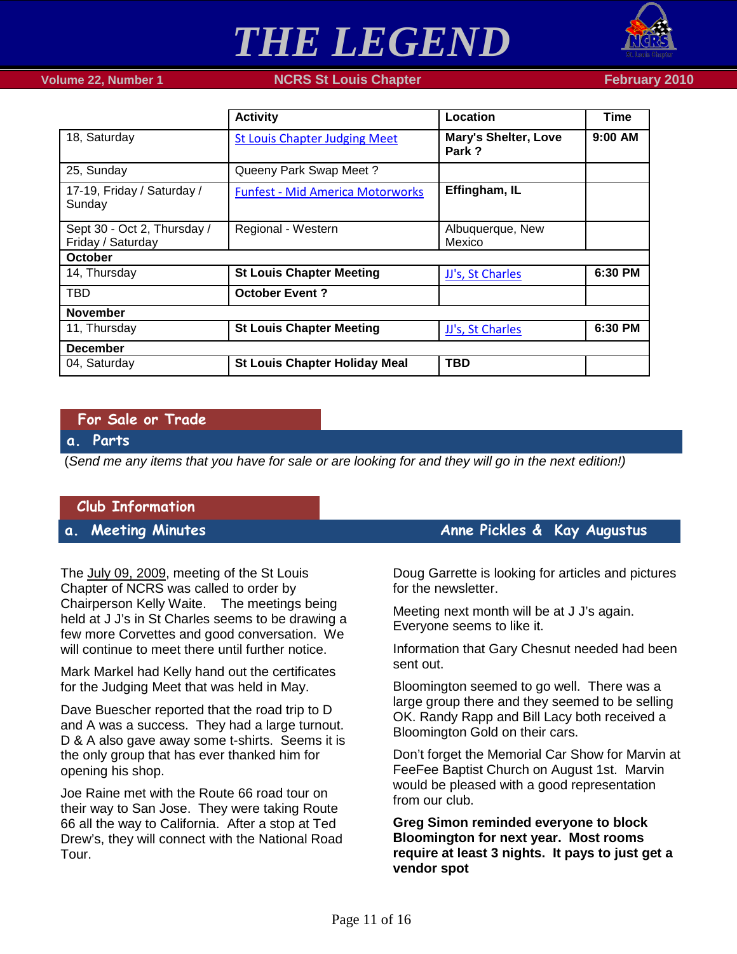

### **Volume 22, Number 1 NCRS St Louis Chapter February 2010**

|                                                  | <b>Activity</b>                         | Location                             | <b>Time</b> |  |
|--------------------------------------------------|-----------------------------------------|--------------------------------------|-------------|--|
| 18, Saturday                                     | <b>St Louis Chapter Judging Meet</b>    | <b>Mary's Shelter, Love</b><br>Park? | 9:00 AM     |  |
| 25, Sunday                                       | Queeny Park Swap Meet?                  |                                      |             |  |
| 17-19, Friday / Saturday /<br>Sunday             | <b>Funfest - Mid America Motorworks</b> | Effingham, IL                        |             |  |
| Sept 30 - Oct 2, Thursday /<br>Friday / Saturday | Regional - Western                      | Albuquerque, New<br>Mexico           |             |  |
| October                                          |                                         |                                      |             |  |
| 14, Thursday                                     | <b>St Louis Chapter Meeting</b>         | JJ's, St Charles                     | 6:30 PM     |  |
| TBD                                              | <b>October Event?</b>                   |                                      |             |  |
| <b>November</b>                                  |                                         |                                      |             |  |
| 11, Thursday                                     | <b>St Louis Chapter Meeting</b>         | JJ's, St Charles                     | 6:30 PM     |  |
| <b>December</b>                                  |                                         |                                      |             |  |
| 04, Saturday                                     | <b>St Louis Chapter Holiday Meal</b>    | <b>TBD</b>                           |             |  |

### <span id="page-10-0"></span>**For Sale or Trade**

### <span id="page-10-1"></span>**a. Parts**

(*Send me any items that you have for sale or are looking for and they will go in the next edition!)*

### <span id="page-10-2"></span>**Club Information**

The July 09, 2009, meeting of the St Louis Chapter of NCRS was called to order by Chairperson Kelly Waite. The meetings being held at J J's in St Charles seems to be drawing a few more Corvettes and good conversation. We will continue to meet there until further notice.

Mark Markel had Kelly hand out the certificates for the Judging Meet that was held in May.

Dave Buescher reported that the road trip to D and A was a success. They had a large turnout. D & A also gave away some t-shirts. Seems it is the only group that has ever thanked him for opening his shop.

Joe Raine met with the Route 66 road tour on their way to San Jose. They were taking Route 66 all the way to California. After a stop at Ted Drew's, they will connect with the National Road Tour.

### <span id="page-10-3"></span>**a. Meeting Minutes Anne Pickles & Kay Augustus**

Doug Garrette is looking for articles and pictures for the newsletter.

Meeting next month will be at J J's again. Everyone seems to like it.

Information that Gary Chesnut needed had been sent out.

Bloomington seemed to go well. There was a large group there and they seemed to be selling OK. Randy Rapp and Bill Lacy both received a Bloomington Gold on their cars.

Don't forget the Memorial Car Show for Marvin at FeeFee Baptist Church on August 1st. Marvin would be pleased with a good representation from our club.

**Greg Simon reminded everyone to block Bloomington for next year. Most rooms require at least 3 nights. It pays to just get a vendor spot**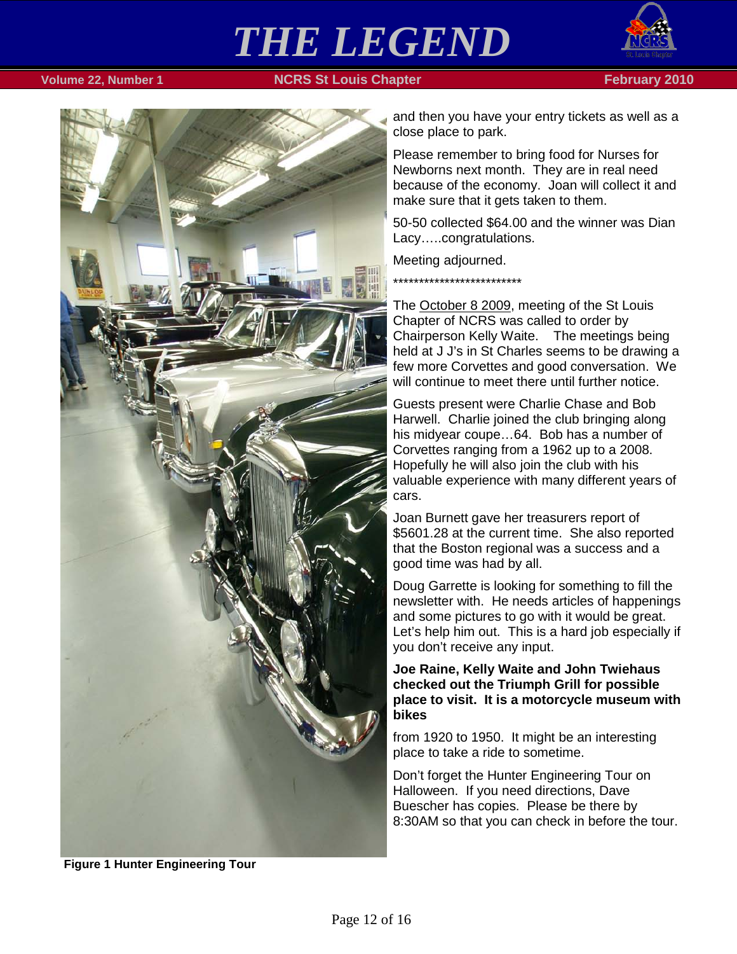

### **Volume 22, Number 1 NCRS St Louis Chapter February 2010**



and then you have your entry tickets as well as a close place to park.

Please remember to bring food for Nurses for Newborns next month. They are in real need because of the economy. Joan will collect it and make sure that it gets taken to them.

50-50 collected \$64.00 and the winner was Dian Lacy…..congratulations.

Meeting adjourned.

\*\*\*\*\*\*\*\*\*\*\*\*\*\*\*\*\*\*\*\*\*\*\*\*\*

The October 8 2009, meeting of the St Louis Chapter of NCRS was called to order by Chairperson Kelly Waite. The meetings being held at J J's in St Charles seems to be drawing a few more Corvettes and good conversation. We will continue to meet there until further notice.

Guests present were Charlie Chase and Bob Harwell. Charlie joined the club bringing along his midyear coupe…64. Bob has a number of Corvettes ranging from a 1962 up to a 2008. Hopefully he will also join the club with his valuable experience with many different years of cars.

Joan Burnett gave her treasurers report of \$5601.28 at the current time. She also reported that the Boston regional was a success and a good time was had by all.

Doug Garrette is looking for something to fill the newsletter with. He needs articles of happenings and some pictures to go with it would be great. Let's help him out. This is a hard job especially if you don't receive any input.

**Joe Raine, Kelly Waite and John Twiehaus checked out the Triumph Grill for possible place to visit. It is a motorcycle museum with bikes** 

from 1920 to 1950. It might be an interesting place to take a ride to sometime.

Don't forget the Hunter Engineering Tour on Halloween. If you need directions, Dave Buescher has copies. Please be there by 8:30AM so that you can check in before the tour.

**Figure 1 Hunter Engineering Tour**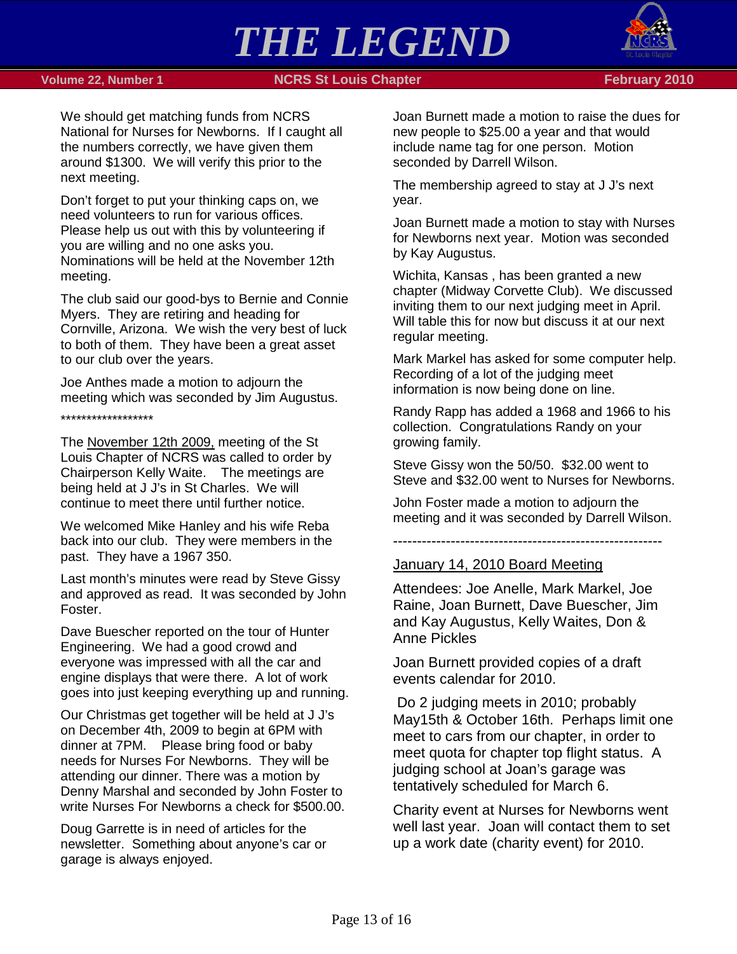

### **Volume 22, Number 1 <b>NGRS St Louis Chapter NGRS 10 February 2010**

We should get matching funds from NCRS National for Nurses for Newborns. If I caught all the numbers correctly, we have given them around \$1300. We will verify this prior to the next meeting.

Don't forget to put your thinking caps on, we need volunteers to run for various offices. Please help us out with this by volunteering if you are willing and no one asks you. Nominations will be held at the November 12th meeting.

The club said our good-bys to Bernie and Connie Myers. They are retiring and heading for Cornville, Arizona. We wish the very best of luck to both of them. They have been a great asset to our club over the years.

Joe Anthes made a motion to adjourn the meeting which was seconded by Jim Augustus.

\*\*\*\*\*\*\*\*\*\*\*\*\*\*\*\*\*\*

The November 12th 2009, meeting of the St Louis Chapter of NCRS was called to order by Chairperson Kelly Waite. The meetings are being held at J J's in St Charles. We will continue to meet there until further notice.

We welcomed Mike Hanley and his wife Reba back into our club. They were members in the past. They have a 1967 350.

Last month's minutes were read by Steve Gissy and approved as read. It was seconded by John Foster.

Dave Buescher reported on the tour of Hunter Engineering. We had a good crowd and everyone was impressed with all the car and engine displays that were there. A lot of work goes into just keeping everything up and running.

Our Christmas get together will be held at J J's on December 4th, 2009 to begin at 6PM with dinner at 7PM. Please bring food or baby needs for Nurses For Newborns. They will be attending our dinner. There was a motion by Denny Marshal and seconded by John Foster to write Nurses For Newborns a check for \$500.00.

Doug Garrette is in need of articles for the newsletter. Something about anyone's car or garage is always enjoyed.

Joan Burnett made a motion to raise the dues for new people to \$25.00 a year and that would include name tag for one person. Motion seconded by Darrell Wilson.

The membership agreed to stay at J J's next year.

Joan Burnett made a motion to stay with Nurses for Newborns next year. Motion was seconded by Kay Augustus.

Wichita, Kansas , has been granted a new chapter (Midway Corvette Club). We discussed inviting them to our next judging meet in April. Will table this for now but discuss it at our next regular meeting.

Mark Markel has asked for some computer help. Recording of a lot of the judging meet information is now being done on line.

Randy Rapp has added a 1968 and 1966 to his collection. Congratulations Randy on your growing family.

Steve Gissy won the 50/50. \$32.00 went to Steve and \$32.00 went to Nurses for Newborns.

John Foster made a motion to adjourn the meeting and it was seconded by Darrell Wilson.

--------------------------------------------------------

### January 14, 2010 Board Meeting

Attendees: Joe Anelle, Mark Markel, Joe Raine, Joan Burnett, Dave Buescher, Jim and Kay Augustus, Kelly Waites, Don & Anne Pickles

Joan Burnett provided copies of a draft events calendar for 2010.

Do 2 judging meets in 2010; probably May15th & October 16th. Perhaps limit one meet to cars from our chapter, in order to meet quota for chapter top flight status. A judging school at Joan's garage was tentatively scheduled for March 6.

Charity event at Nurses for Newborns went well last year. Joan will contact them to set up a work date (charity event) for 2010.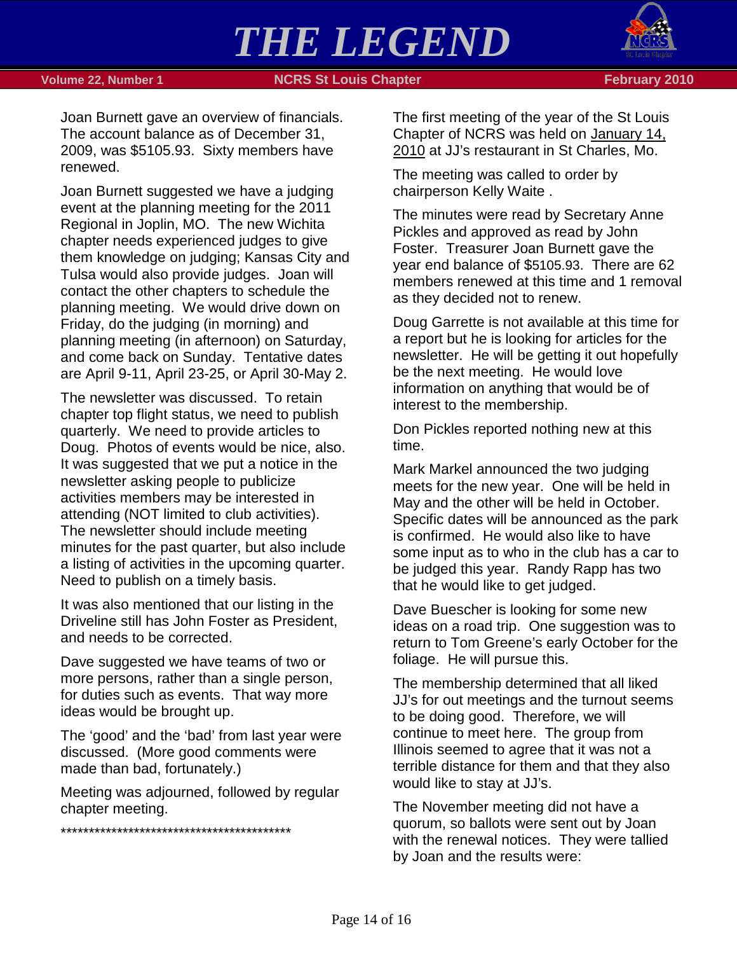

### **Volume 22, Number 1 NCRS St Louis Chapter February 2010**

Joan Burnett gave an overview of financials. The account balance as of December 31, 2009, was \$5105.93. Sixty members have renewed.

Joan Burnett suggested we have a judging event at the planning meeting for the 2011 Regional in Joplin, MO. The new Wichita chapter needs experienced judges to give them knowledge on judging; Kansas City and Tulsa would also provide judges. Joan will contact the other chapters to schedule the planning meeting. We would drive down on Friday, do the judging (in morning) and planning meeting (in afternoon) on Saturday, and come back on Sunday. Tentative dates are April 9-11, April 23-25, or April 30-May 2.

The newsletter was discussed. To retain chapter top flight status, we need to publish quarterly. We need to provide articles to Doug. Photos of events would be nice, also. It was suggested that we put a notice in the newsletter asking people to publicize activities members may be interested in attending (NOT limited to club activities). The newsletter should include meeting minutes for the past quarter, but also include a listing of activities in the upcoming quarter. Need to publish on a timely basis.

It was also mentioned that our listing in the Driveline still has John Foster as President, and needs to be corrected.

Dave suggested we have teams of two or more persons, rather than a single person, for duties such as events. That way more ideas would be brought up.

The 'good' and the 'bad' from last year were discussed. (More good comments were made than bad, fortunately.)

Meeting was adjourned, followed by regular chapter meeting.

\*\*\*\*\*\*\*\*\*\*\*\*\*\*\*\*\*\*\*\*\*\*\*\*\*\*\*\*\*\*\*\*\*\*\*\*\*\*\*\*\*

The first meeting of the year of the St Louis Chapter of NCRS was held on January 14, 2010 at JJ's restaurant in St Charles, Mo.

The meeting was called to order by chairperson Kelly Waite .

The minutes were read by Secretary Anne Pickles and approved as read by John Foster. Treasurer Joan Burnett gave the year end balance of \$5105.93. There are 62 members renewed at this time and 1 removal as they decided not to renew.

Doug Garrette is not available at this time for a report but he is looking for articles for the newsletter. He will be getting it out hopefully be the next meeting. He would love information on anything that would be of interest to the membership.

Don Pickles reported nothing new at this time.

Mark Markel announced the two judging meets for the new year. One will be held in May and the other will be held in October. Specific dates will be announced as the park is confirmed. He would also like to have some input as to who in the club has a car to be judged this year. Randy Rapp has two that he would like to get judged.

Dave Buescher is looking for some new ideas on a road trip. One suggestion was to return to Tom Greene's early October for the foliage. He will pursue this.

The membership determined that all liked JJ's for out meetings and the turnout seems to be doing good. Therefore, we will continue to meet here. The group from Illinois seemed to agree that it was not a terrible distance for them and that they also would like to stay at JJ's.

The November meeting did not have a quorum, so ballots were sent out by Joan with the renewal notices. They were tallied by Joan and the results were: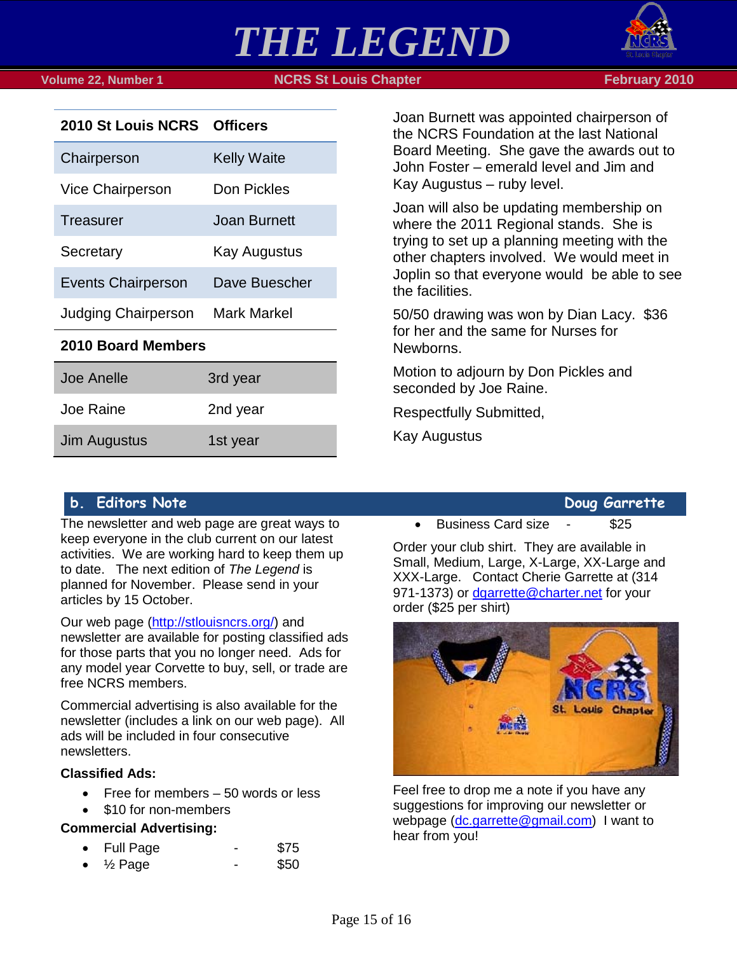

 **Volume 22, Number 1 NCRS St Louis Chapter February 2010**



| 2010 St Louis NCRS Officers |               |  |  |
|-----------------------------|---------------|--|--|
| Chairperson                 | Kelly Waite   |  |  |
| <b>Vice Chairperson</b>     | Don Pickles   |  |  |
| Treasurer                   | Joan Burnett  |  |  |
| Secretary                   | Kay Augustus  |  |  |
| <b>Events Chairperson</b>   | Dave Buescher |  |  |
| <b>Judging Chairperson</b>  | Mark Markel   |  |  |
| 2010 Board Members          |               |  |  |
| Joe Anelle                  | 3rd year      |  |  |
|                             |               |  |  |

Joan Burnett was appointed chairperson of the NCRS Foundation at the last National Board Meeting. She gave the awards out to John Foster – emerald level and Jim and Kay Augustus – ruby level.

Joan will also be updating membership on where the 2011 Regional stands. She is trying to set up a planning meeting with the other chapters involved. We would meet in Joplin so that everyone would be able to see the facilities.

50/50 drawing was won by Dian Lacy. \$36 for her and the same for Nurses for Newborns.

Motion to adjourn by Don Pickles and seconded by Joe Raine.

Respectfully Submitted,

Kay Augustus

### <span id="page-14-0"></span>**b. Editors Note Doug Garrette**

Joe Raine 2nd year

Jim Augustus 1st year

The newsletter and web page are great ways to keep everyone in the club current on our latest activities. We are working hard to keep them up to date. The next edition of *The Legend* is planned for November. Please send in your articles by 15 October.

Our web page [\(http://stlouisncrs.org/\)](http://stlouisncrs.org/) and newsletter are available for posting classified ads for those parts that you no longer need. Ads for any model year Corvette to buy, sell, or trade are free NCRS members.

Commercial advertising is also available for the newsletter (includes a link on our web page). All ads will be included in four consecutive newsletters.

### **Classified Ads:**

• Free for members – 50 words or less

• \$10 for non-members

### **Commercial Advertising:**

- Full Page \$75
- $\frac{1}{2}$  Page \$50

• Business Card size - \$25

Order your club shirt. They are available in Small, Medium, Large, X-Large, XX-Large and XXX-Large. Contact Cherie Garrette at (314 971-1373) or [dgarrette@charter.net](mailto:dgarrette@charter.net) for your order (\$25 per shirt)



Feel free to drop me a note if you have any suggestions for improving our newsletter or webpage [\(dc.garrette@gmail.com\)](mailto:dc.garrette@gmail.com) I want to hear from you!